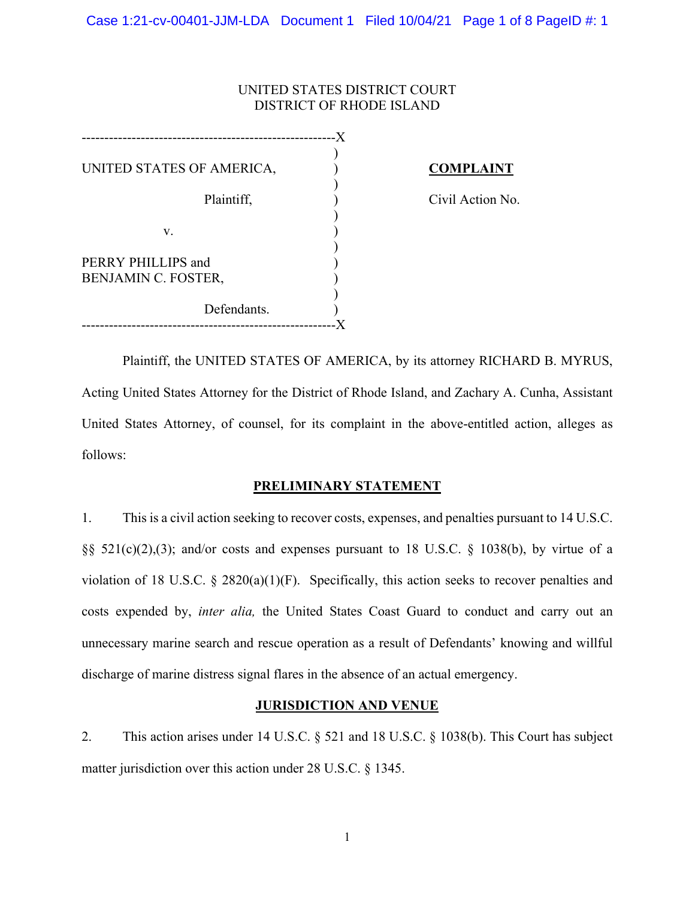## UNITED STATES DISTRICT COURT DISTRICT OF RHODE ISLAND

| UNITED STATES OF AMERICA,                 |  |
|-------------------------------------------|--|
| Plaintiff,                                |  |
| v.                                        |  |
| PERRY PHILLIPS and<br>BENJAMIN C. FOSTER, |  |
| Defendants.                               |  |
|                                           |  |

# **COMPLAINT**

Civil Action No.

Plaintiff, the UNITED STATES OF AMERICA, by its attorney RICHARD B. MYRUS, Acting United States Attorney for the District of Rhode Island, and Zachary A. Cunha, Assistant United States Attorney, of counsel, for its complaint in the above-entitled action, alleges as follows:

## **PRELIMINARY STATEMENT**

1. This is a civil action seeking to recover costs, expenses, and penalties pursuant to 14 U.S.C. §§ 521(c)(2),(3); and/or costs and expenses pursuant to 18 U.S.C. § 1038(b), by virtue of a violation of 18 U.S.C. § 2820(a)(1)(F). Specifically, this action seeks to recover penalties and costs expended by, *inter alia,* the United States Coast Guard to conduct and carry out an unnecessary marine search and rescue operation as a result of Defendants' knowing and willful discharge of marine distress signal flares in the absence of an actual emergency.

## **JURISDICTION AND VENUE**

2. This action arises under 14 U.S.C. § 521 and 18 U.S.C. § 1038(b). This Court has subject matter jurisdiction over this action under 28 U.S.C. § 1345.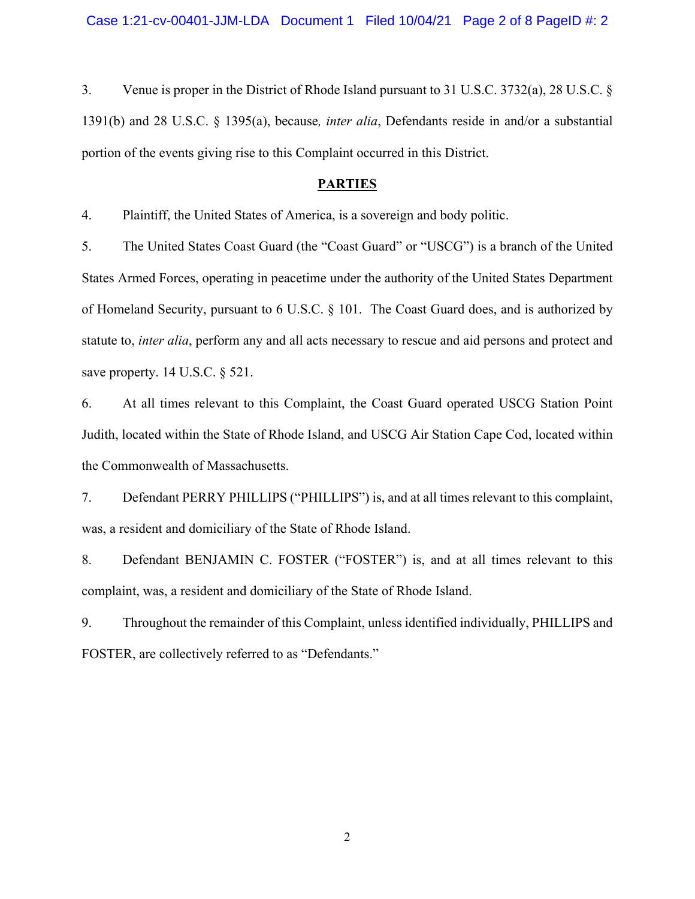3. Venue is proper in the District of Rhode Island pursuant to 31 U.S.C. 3732(a), 28 U.S.C. § 1391(b) and 28 U.S.C. § 1395(a), because*, inter alia*, Defendants reside in and/or a substantial portion of the events giving rise to this Complaint occurred in this District.

## **PARTIES**

4. Plaintiff, the United States of America, is a sovereign and body politic.

5. The United States Coast Guard (the "Coast Guard" or "USCG") is a branch of the United States Armed Forces, operating in peacetime under the authority of the United States Department of Homeland Security, pursuant to 6 U.S.C. § 101. The Coast Guard does, and is authorized by statute to, *inter alia*, perform any and all acts necessary to rescue and aid persons and protect and save property. 14 U.S.C. § 521.

6. At all times relevant to this Complaint, the Coast Guard operated USCG Station Point Judith, located within the State of Rhode Island, and USCG Air Station Cape Cod, located within the Commonwealth of Massachusetts.

7. Defendant PERRY PHILLIPS ("PHILLIPS") is, and at all times relevant to this complaint, was, a resident and domiciliary of the State of Rhode Island.

8. Defendant BENJAMIN C. FOSTER ("FOSTER") is, and at all times relevant to this complaint, was, a resident and domiciliary of the State of Rhode Island.

9. Throughout the remainder of this Complaint, unless identified individually, PHILLIPS and FOSTER, are collectively referred to as "Defendants."

2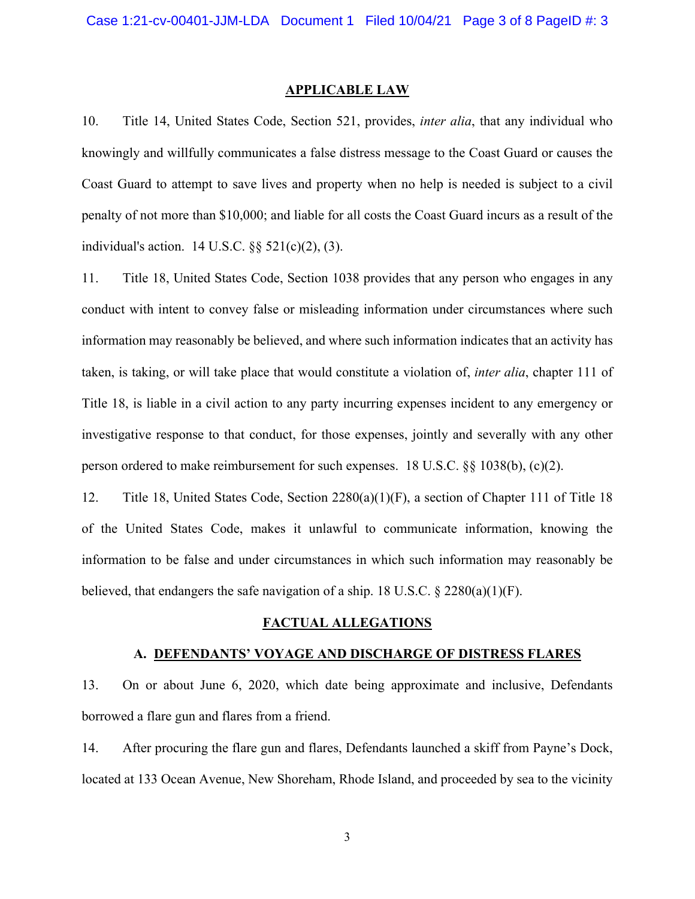#### **APPLICABLE LAW**

10. Title 14, United States Code, Section 521, provides, *inter alia*, that any individual who knowingly and willfully communicates a false distress message to the Coast Guard or causes the Coast Guard to attempt to save lives and property when no help is needed is subject to a civil penalty of not more than \$10,000; and liable for all costs the Coast Guard incurs as a result of the individual's action. 14 U.S.C. §§ 521(c)(2), (3).

11. Title 18, United States Code, Section 1038 provides that any person who engages in any conduct with intent to convey false or misleading information under circumstances where such information may reasonably be believed, and where such information indicates that an activity has taken, is taking, or will take place that would constitute a violation of, *inter alia*, chapter 111 of Title 18, is liable in a civil action to any party incurring expenses incident to any emergency or investigative response to that conduct, for those expenses, jointly and severally with any other person ordered to make reimbursement for such expenses. 18 U.S.C. §§ 1038(b), (c)(2).

12. Title 18, United States Code, Section 2280(a)(1)(F), a section of Chapter 111 of Title 18 of the United States Code, makes it unlawful to communicate information, knowing the information to be false and under circumstances in which such information may reasonably be believed, that endangers the safe navigation of a ship. 18 U.S.C.  $\S 2280(a)(1)(F)$ .

#### **FACTUAL ALLEGATIONS**

#### **A. DEFENDANTS' VOYAGE AND DISCHARGE OF DISTRESS FLARES**

13. On or about June 6, 2020, which date being approximate and inclusive, Defendants borrowed a flare gun and flares from a friend.

14. After procuring the flare gun and flares, Defendants launched a skiff from Payne's Dock, located at 133 Ocean Avenue, New Shoreham, Rhode Island, and proceeded by sea to the vicinity

3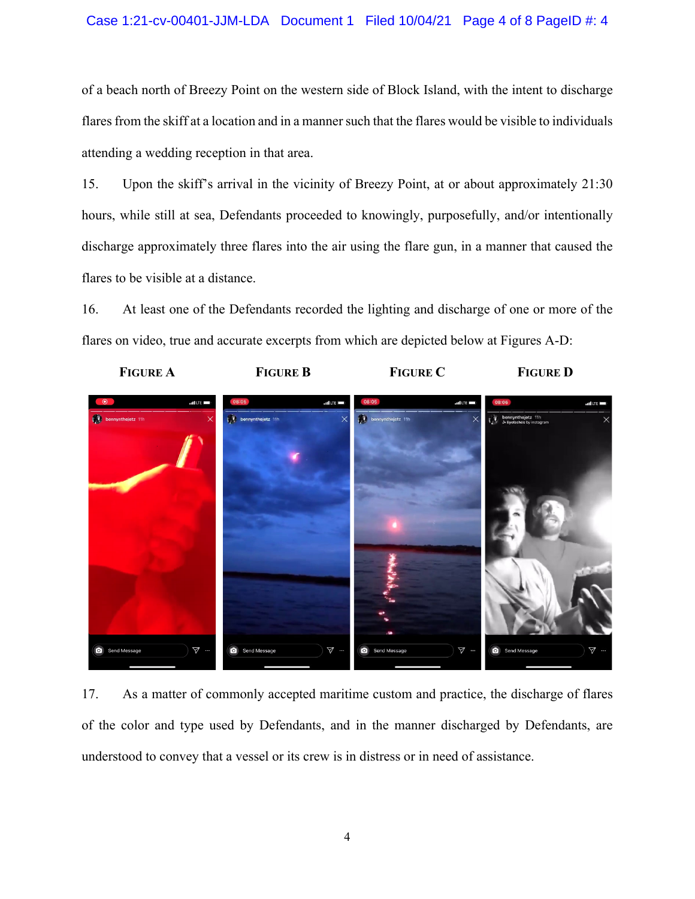### Case 1:21-cv-00401-JJM-LDA Document 1 Filed 10/04/21 Page 4 of 8 PageID #: 4

of a beach north of Breezy Point on the western side of Block Island, with the intent to discharge flares from the skiff at a location and in a manner such that the flares would be visible to individuals attending a wedding reception in that area.

15. Upon the skiff's arrival in the vicinity of Breezy Point, at or about approximately 21:30 hours, while still at sea, Defendants proceeded to knowingly, purposefully, and/or intentionally discharge approximately three flares into the air using the flare gun, in a manner that caused the flares to be visible at a distance.

16. At least one of the Defendants recorded the lighting and discharge of one or more of the flares on video, true and accurate excerpts from which are depicted below at Figures A-D:



17. As a matter of commonly accepted maritime custom and practice, the discharge of flares of the color and type used by Defendants, and in the manner discharged by Defendants, are understood to convey that a vessel or its crew is in distress or in need of assistance.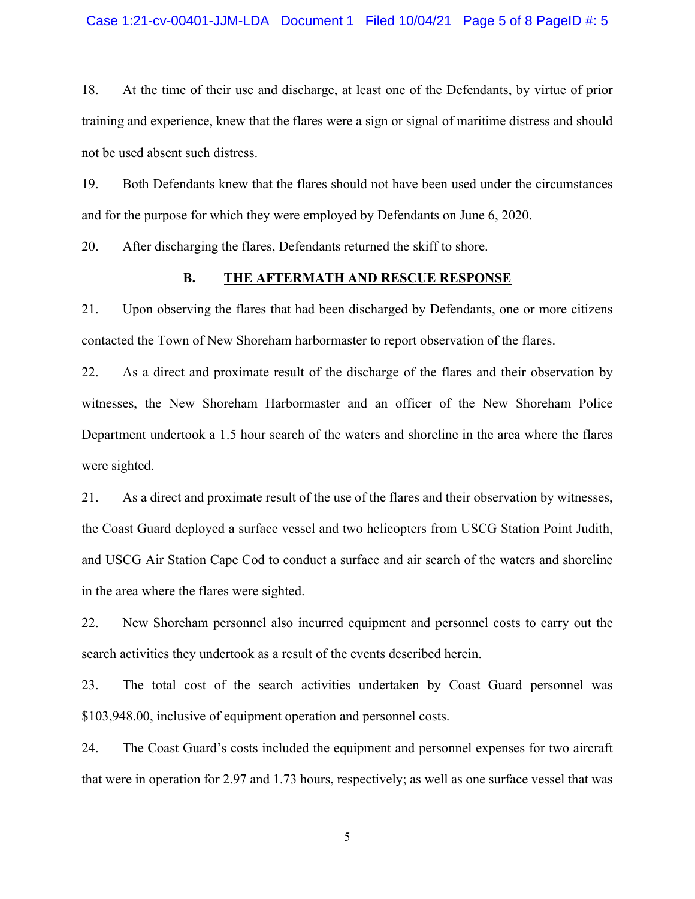18. At the time of their use and discharge, at least one of the Defendants, by virtue of prior training and experience, knew that the flares were a sign or signal of maritime distress and should not be used absent such distress.

19. Both Defendants knew that the flares should not have been used under the circumstances and for the purpose for which they were employed by Defendants on June 6, 2020.

20. After discharging the flares, Defendants returned the skiff to shore.

### **B. THE AFTERMATH AND RESCUE RESPONSE**

21. Upon observing the flares that had been discharged by Defendants, one or more citizens contacted the Town of New Shoreham harbormaster to report observation of the flares.

22. As a direct and proximate result of the discharge of the flares and their observation by witnesses, the New Shoreham Harbormaster and an officer of the New Shoreham Police Department undertook a 1.5 hour search of the waters and shoreline in the area where the flares were sighted.

21. As a direct and proximate result of the use of the flares and their observation by witnesses, the Coast Guard deployed a surface vessel and two helicopters from USCG Station Point Judith, and USCG Air Station Cape Cod to conduct a surface and air search of the waters and shoreline in the area where the flares were sighted.

22. New Shoreham personnel also incurred equipment and personnel costs to carry out the search activities they undertook as a result of the events described herein.

23. The total cost of the search activities undertaken by Coast Guard personnel was \$103,948.00, inclusive of equipment operation and personnel costs.

24. The Coast Guard's costs included the equipment and personnel expenses for two aircraft that were in operation for 2.97 and 1.73 hours, respectively; as well as one surface vessel that was

5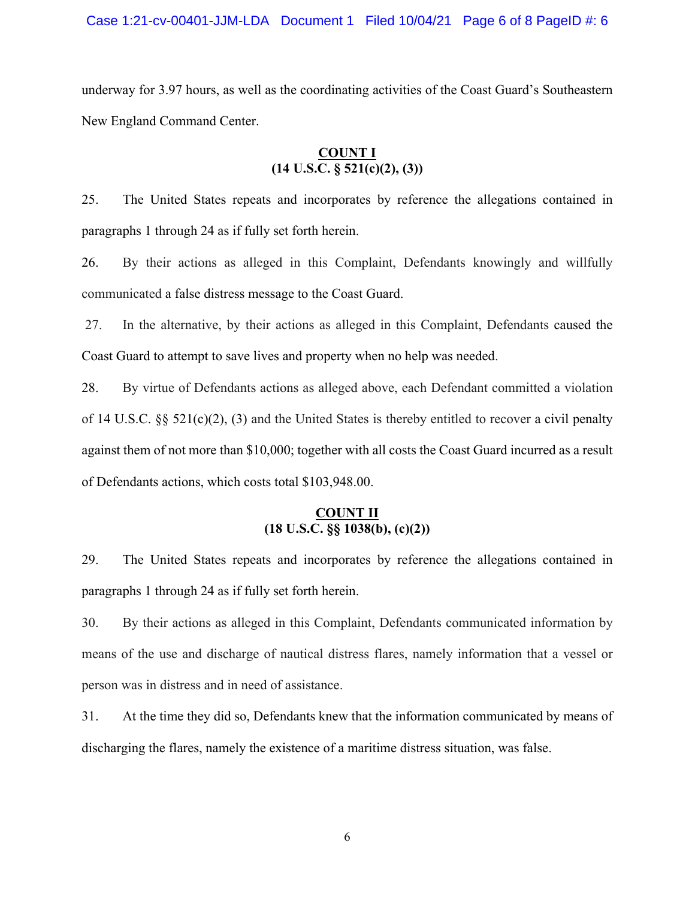underway for 3.97 hours, as well as the coordinating activities of the Coast Guard's Southeastern New England Command Center.

# **COUNT I (14 U.S.C. § 521(c)(2), (3))**

25. The United States repeats and incorporates by reference the allegations contained in paragraphs 1 through 24 as if fully set forth herein.

26. By their actions as alleged in this Complaint, Defendants knowingly and willfully communicated a false distress message to the Coast Guard.

 27. In the alternative, by their actions as alleged in this Complaint, Defendants caused the Coast Guard to attempt to save lives and property when no help was needed.

28. By virtue of Defendants actions as alleged above, each Defendant committed a violation of 14 U.S.C. §§ 521(c)(2), (3) and the United States is thereby entitled to recover a civil penalty against them of not more than \$10,000; together with all costs the Coast Guard incurred as a result of Defendants actions, which costs total \$103,948.00.

# **COUNT II (18 U.S.C. §§ 1038(b), (c)(2))**

29. The United States repeats and incorporates by reference the allegations contained in paragraphs 1 through 24 as if fully set forth herein.

30. By their actions as alleged in this Complaint, Defendants communicated information by means of the use and discharge of nautical distress flares, namely information that a vessel or person was in distress and in need of assistance.

31. At the time they did so, Defendants knew that the information communicated by means of discharging the flares, namely the existence of a maritime distress situation, was false.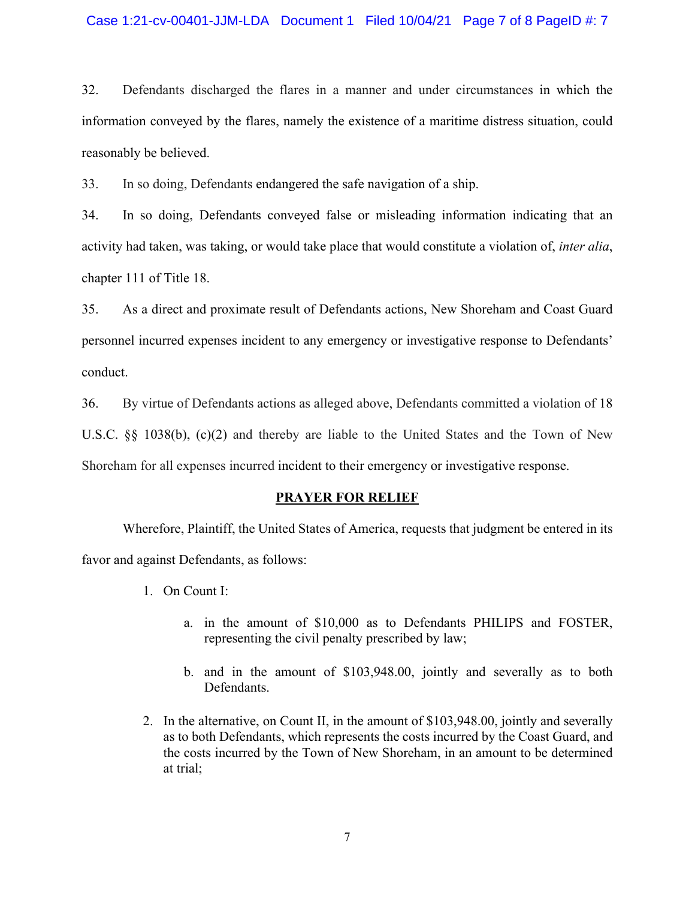### Case 1:21-cv-00401-JJM-LDA Document 1 Filed 10/04/21 Page 7 of 8 PageID #: 7

32. Defendants discharged the flares in a manner and under circumstances in which the information conveyed by the flares, namely the existence of a maritime distress situation, could reasonably be believed.

33. In so doing, Defendants endangered the safe navigation of a ship.

34. In so doing, Defendants conveyed false or misleading information indicating that an activity had taken, was taking, or would take place that would constitute a violation of, *inter alia*, chapter 111 of Title 18.

35. As a direct and proximate result of Defendants actions, New Shoreham and Coast Guard personnel incurred expenses incident to any emergency or investigative response to Defendants' conduct.

36. By virtue of Defendants actions as alleged above, Defendants committed a violation of 18 U.S.C. §§ 1038(b), (c)(2) and thereby are liable to the United States and the Town of New

Shoreham for all expenses incurred incident to their emergency or investigative response.

### **PRAYER FOR RELIEF**

Wherefore, Plaintiff, the United States of America, requests that judgment be entered in its favor and against Defendants, as follows:

- 1. On Count I:
	- a. in the amount of \$10,000 as to Defendants PHILIPS and FOSTER, representing the civil penalty prescribed by law;
	- b. and in the amount of \$103,948.00, jointly and severally as to both Defendants.
- 2. In the alternative, on Count II, in the amount of \$103,948.00, jointly and severally as to both Defendants, which represents the costs incurred by the Coast Guard, and the costs incurred by the Town of New Shoreham, in an amount to be determined at trial;